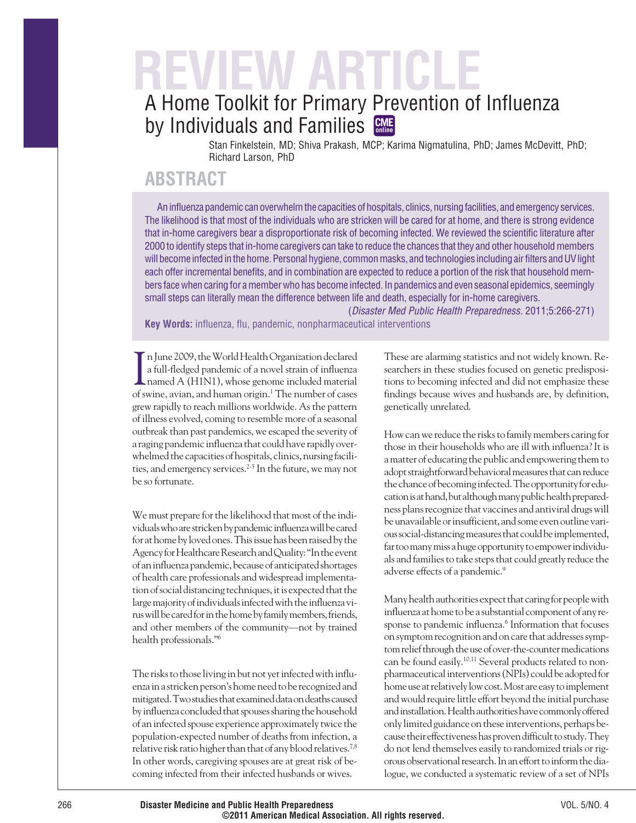# **REVIEW ARTICLE** A Home Toolkit for Primary Prevention of Influenza

by Individuals and Families **CME** Stan Finkelstein, MD; Shiva Prakash, MCP; Karima Nigmatulina, PhD; James McDevitt, PhD;

Richard Larson, PhD

# **ABSTRACT**

An influenza pandemic can overwhelm the capacities of hospitals, clinics, nursing facilities, and emergency services. The likelihood is that most of the individuals who are stricken will be cared for at home, and there is strong evidence that in-home caregivers bear a disproportionate risk of becoming infected. We reviewed the scientific literature after 2000 to identify steps that in-home caregivers can take to reduce the chances that they and other household members will become infected in the home. Personal hygiene, common masks, and technologies including air filters and UV light each offer incremental benefits, and in combination are expected to reduce a portion of the risk that household members face when caring for a member who has become infected. In pandemics and even seasonal epidemics, seemingly small steps can literally mean the difference between life and death, especially for in-home caregivers.

(Disaster Med Public Health Preparedness. 2011;5:266-271) **Key Words:** influenza, flu, pandemic, nonpharmaceutical interventions

In June 2009, the World Health Organization declared<br>
a full-fledged pandemic of a novel strain of influenza<br>
named A (H1N1), whose genome included material n June 2009, theWorldHealthOrganization declared a full-fledged pandemic of a novel strain of influenza of swine, avian, and human origin.1 The number of cases grew rapidly to reach millions worldwide. As the pattern of illness evolved, coming to resemble more of a seasonal outbreak than past pandemics, we escaped the severity of a raging pandemicinfluenza that could have rapidly overwhelmed the capacities of hospitals, clinics, nursingfacilities, and emergency services.<sup>2-5</sup> In the future, we may not be so fortunate.

We must prepare for the likelihood that most of the individuals who are stricken by pandemic influenza will be cared for at home byloved ones.Thisissue has been raised by the Agency for Healthcare Research and Quality: "In the event of aninfluenza pandemic, because of anticipated shortages of health care professionals and widespread implementation of social distancing techniques, it is expected that the large majority of individuals infected with the influenza virus will be cared for in the home by family members, friends, and other members of the community—not by trained health professionals."6

The risks to those living in but not yet infected with influenzain a stricken person's home need to be recognized and mitigated. Two studies that examined data on deaths caused byinfluenza concluded that spouses sharing the household of an infected spouse experience approximately twice the population-expected number of deaths from infection, a relative risk ratio higher than that of any blood relatives.<sup>7,8</sup> In other words, caregiving spouses are at great risk of becoming infected from their infected husbands or wives.

These are alarming statistics and not widely known. Researchers in these studies focused on genetic predispositions to becoming infected and did not emphasize these findings because wives and husbands are, by definition, genetically unrelated.

How can we reduce the risks to family members caring for those in their households who are ill with influenza? It is a matter of educating the public and empowering them to adopt straightforward behavioral measures that can reduce the chance of becoming infected. The opportunity for education is at hand, but although many public health preparedness plans recognize that vaccines and antiviral drugs will be unavailable or insufficient, and some even outline various social-distancing measures that could be implemented, far too many miss a huge opportunity to empower individuals and families to take steps that could greatly reduce the adverse effects of a pandemic.9

Many health authorities expect that caringfor peoplewith influenza at home to be a substantial component of any response to pandemic influenza.<sup>6</sup> Information that focuses on symptom recognition and on care that addresses symptom relief through the use of over-the-counter medications can be found easily.10,11 Several products related to nonpharmaceutical interventions (NPIs) could be adopted for home use at relatively low cost. Most are easy to implement and would require little effort beyond the initial purchase andinstallation.Healthauthoritieshavecommonlyoffered onlylimited guidance on theseinterventions, perhaps because their effectiveness has proven difficult to study. They do not lend themselves easily to randomized trials or rigorous observational research. Inaneffort toinform the dialogue, we conducted a systematic review of a set of NPIs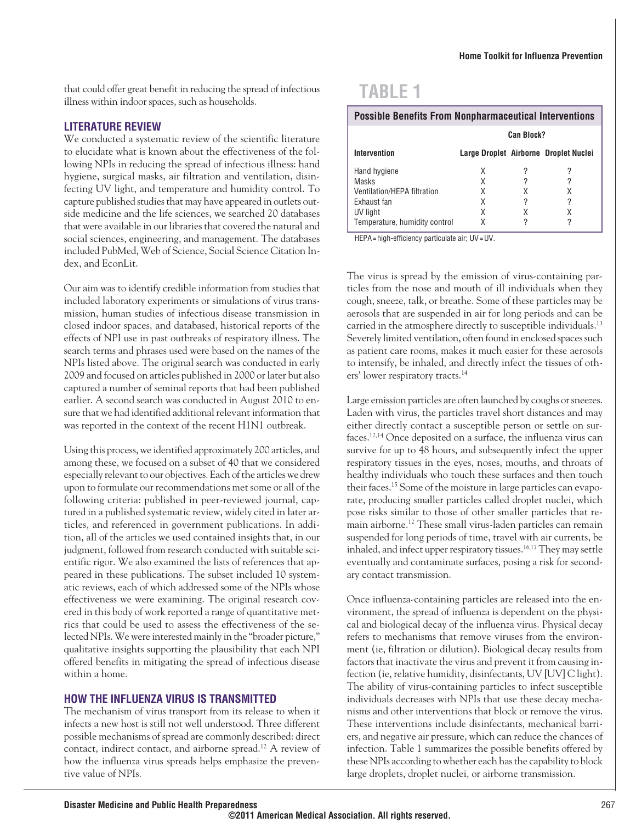that could offer great benefit in reducing the spread of infectious illness within indoor spaces, such as households.

#### **LITERATURE REVIEW**

We conducted a systematic review of the scientific literature to elucidate what is known about the effectiveness of the following NPIs in reducing the spread of infectious illness: hand hygiene, surgical masks, air filtration and ventilation, disinfecting UV light, and temperature and humidity control. To capture published studies that may have appeared in outlets outside medicine and the life sciences, we searched 20 databases that were available in our libraries that covered the natural and social sciences, engineering, and management. The databases included PubMed, Web of Science, Social Science Citation Index, and EconLit.

Our aim was to identify credible information from studies that included laboratory experiments or simulations of virus transmission, human studies of infectious disease transmission in closed indoor spaces, and databased, historical reports of the effects of NPI use in past outbreaks of respiratory illness. The search terms and phrases used were based on the names of the NPIs listed above. The original search was conducted in early 2009 and focused on articles published in 2000 or later but also captured a number of seminal reports that had been published earlier. A second search was conducted in August 2010 to ensure that we had identified additional relevant information that was reported in the context of the recent H1N1 outbreak.

Using this process, we identified approximately 200 articles, and among these, we focused on a subset of 40 that we considered especially relevant to our objectives. Each of the articles we drew upon to formulate our recommendations met some or all of the following criteria: published in peer-reviewed journal, captured in a published systematic review, widely cited in later articles, and referenced in government publications. In addition, all of the articles we used contained insights that, in our judgment, followed from research conducted with suitable scientific rigor. We also examined the lists of references that appeared in these publications. The subset included 10 systematic reviews, each of which addressed some of the NPIs whose effectiveness we were examining. The original research covered in this body of work reported a range of quantitative metrics that could be used to assess the effectiveness of the selected NPIs.We were interested mainly in the "broader picture," qualitative insights supporting the plausibility that each NPI offered benefits in mitigating the spread of infectious disease within a home.

### **HOW THE INFLUENZA VIRUS IS TRANSMITTED**

The mechanism of virus transport from its release to when it infects a new host is still not well understood. Three different possible mechanisms of spread are commonly described: direct contact, indirect contact, and airborne spread.12 A review of how the influenza virus spreads helps emphasize the preventive value of NPIs.

# **TABLE 1**

| <b>Possible Benefits From Nonpharmaceutical Interventions</b> |                   |   |                                       |  |
|---------------------------------------------------------------|-------------------|---|---------------------------------------|--|
|                                                               | <b>Can Block?</b> |   |                                       |  |
| Intervention                                                  |                   |   | Large Droplet Airborne Droplet Nuclei |  |
| Hand hygiene                                                  | X                 |   |                                       |  |
| Masks                                                         | Χ                 | 2 |                                       |  |
| Ventilation/HEPA filtration                                   | X                 | χ |                                       |  |
| Exhaust fan                                                   | Χ                 | 2 | っ                                     |  |
| UV light                                                      | χ                 | χ |                                       |  |
| Temperature, humidity control                                 | x                 |   |                                       |  |

HEPA=high-efficiency particulate air; UV=UV.

The virus is spread by the emission of virus-containing particles from the nose and mouth of ill individuals when they cough, sneeze, talk, or breathe. Some of these particles may be aerosols that are suspended in air for long periods and can be carried in the atmosphere directly to susceptible individuals.<sup>13</sup> Severely limited ventilation, often found in enclosed spaces such as patient care rooms, makes it much easier for these aerosols to intensify, be inhaled, and directly infect the tissues of others' lower respiratory tracts.14

Large emission particles are often launched by coughs or sneezes. Laden with virus, the particles travel short distances and may either directly contact a susceptible person or settle on surfaces.12,14 Once deposited on a surface, the influenza virus can survive for up to 48 hours, and subsequently infect the upper respiratory tissues in the eyes, noses, mouths, and throats of healthy individuals who touch these surfaces and then touch their faces.15 Some of the moisture in large particles can evaporate, producing smaller particles called droplet nuclei, which pose risks similar to those of other smaller particles that remain airborne.12 These small virus-laden particles can remain suspended for long periods of time, travel with air currents, be inhaled, and infect upper respiratory tissues.<sup>16,17</sup> They may settle eventually and contaminate surfaces, posing a risk for secondary contact transmission.

Once influenza-containing particles are released into the environment, the spread of influenza is dependent on the physical and biological decay of the influenza virus. Physical decay refers to mechanisms that remove viruses from the environment (ie, filtration or dilution). Biological decay results from factors that inactivate the virus and prevent it from causing infection (ie, relative humidity, disinfectants, UV [UV] C light). The ability of virus-containing particles to infect susceptible individuals decreases with NPIs that use these decay mechanisms and other interventions that block or remove the virus. These interventions include disinfectants, mechanical barriers, and negative air pressure, which can reduce the chances of infection. Table 1 summarizes the possible benefits offered by these NPIs according to whether each has the capability to block large droplets, droplet nuclei, or airborne transmission.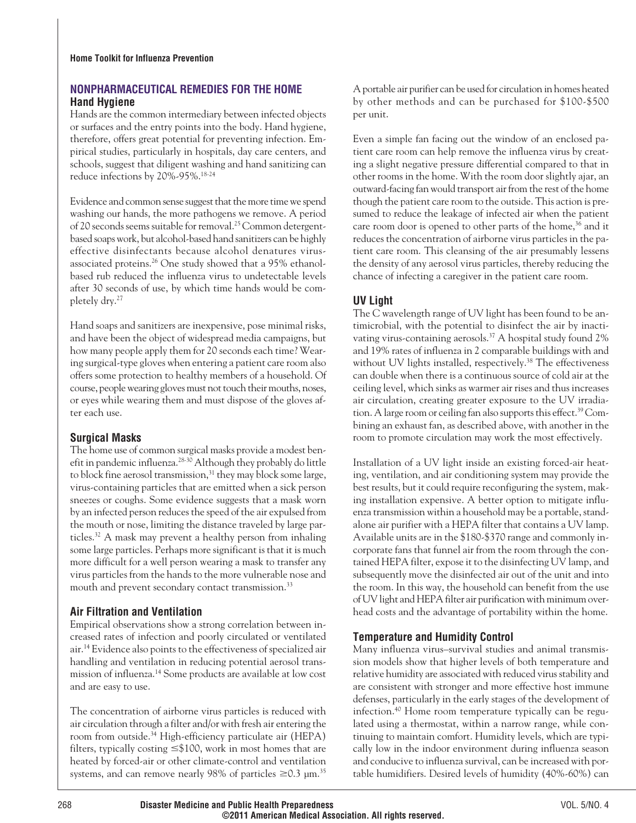## **NONPHARMACEUTICAL REMEDIES FOR THE HOME Hand Hygiene**

Hands are the common intermediary between infected objects or surfaces and the entry points into the body. Hand hygiene, therefore, offers great potential for preventing infection. Empirical studies, particularly in hospitals, day care centers, and schools, suggest that diligent washing and hand sanitizing can reduce infections by 20%-95%.18-24

Evidence and common sense suggest that the more time we spend washing our hands, the more pathogens we remove. A period of 20 seconds seems suitable for removal.<sup>25</sup> Common detergentbased soaps work, but alcohol-based hand sanitizers can be highly effective disinfectants because alcohol denatures virusassociated proteins.<sup>26</sup> One study showed that a 95% ethanolbased rub reduced the influenza virus to undetectable levels after 30 seconds of use, by which time hands would be completely dry.27

Hand soaps and sanitizers are inexpensive, pose minimal risks, and have been the object of widespread media campaigns, but how many people apply them for 20 seconds each time? Wearing surgical-type gloves when entering a patient care room also offers some protection to healthy members of a household. Of course, people wearing gloves must not touch their mouths, noses, or eyes while wearing them and must dispose of the gloves after each use.

## **Surgical Masks**

The home use of common surgical masks provide a modest benefit in pandemic influenza.<sup>28-30</sup> Although they probably do little to block fine aerosol transmission,<sup>31</sup> they may block some large, virus-containing particles that are emitted when a sick person sneezes or coughs. Some evidence suggests that a mask worn by an infected person reduces the speed of the air expulsed from the mouth or nose, limiting the distance traveled by large particles.32 A mask may prevent a healthy person from inhaling some large particles. Perhaps more significant is that it is much more difficult for a well person wearing a mask to transfer any virus particles from the hands to the more vulnerable nose and mouth and prevent secondary contact transmission.<sup>33</sup>

## **Air Filtration and Ventilation**

Empirical observations show a strong correlation between increased rates of infection and poorly circulated or ventilated air.14 Evidence also points to the effectiveness of specialized air handling and ventilation in reducing potential aerosol transmission of influenza.14 Some products are available at low cost and are easy to use.

The concentration of airborne virus particles is reduced with air circulation through a filter and/or with fresh air entering the room from outside.<sup>34</sup> High-efficiency particulate air (HEPA) filters, typically costing  $\leq$ \$100, work in most homes that are heated by forced-air or other climate-control and ventilation systems, and can remove nearly 98% of particles  $\geq 0.3$  µm.<sup>35</sup>

A portable air purifier can be used for circulation in homes heated by other methods and can be purchased for \$100-\$500 per unit.

Even a simple fan facing out the window of an enclosed patient care room can help remove the influenza virus by creating a slight negative pressure differential compared to that in other rooms in the home. With the room door slightly ajar, an outward-facing fan would transport air from the rest of the home though the patient care room to the outside. This action is presumed to reduce the leakage of infected air when the patient care room door is opened to other parts of the home,<sup>36</sup> and it reduces the concentration of airborne virus particles in the patient care room. This cleansing of the air presumably lessens the density of any aerosol virus particles, thereby reducing the chance of infecting a caregiver in the patient care room.

# **UV Light**

The C wavelength range of UV light has been found to be antimicrobial, with the potential to disinfect the air by inactivating virus-containing aerosols.<sup>37</sup> A hospital study found 2% and 19% rates of influenza in 2 comparable buildings with and without UV lights installed, respectively.<sup>38</sup> The effectiveness can double when there is a continuous source of cold air at the ceiling level, which sinks as warmer air rises and thus increases air circulation, creating greater exposure to the UV irradiation. A large room or ceiling fan also supports this effect.<sup>39</sup> Combining an exhaust fan, as described above, with another in the room to promote circulation may work the most effectively.

Installation of a UV light inside an existing forced-air heating, ventilation, and air conditioning system may provide the best results, but it could require reconfiguring the system, making installation expensive. A better option to mitigate influenza transmission within a household may be a portable, standalone air purifier with a HEPA filter that contains a UV lamp. Available units are in the \$180-\$370 range and commonly incorporate fans that funnel air from the room through the contained HEPA filter, expose it to the disinfecting UV lamp, and subsequently move the disinfected air out of the unit and into the room. In this way, the household can benefit from the use of UV light and HEPA filter air purification with minimum overhead costs and the advantage of portability within the home.

# **Temperature and Humidity Control**

Many influenza virus–survival studies and animal transmission models show that higher levels of both temperature and relative humidity are associated with reduced virus stability and are consistent with stronger and more effective host immune defenses, particularly in the early stages of the development of infection.40 Home room temperature typically can be regulated using a thermostat, within a narrow range, while continuing to maintain comfort. Humidity levels, which are typically low in the indoor environment during influenza season and conducive to influenza survival, can be increased with portable humidifiers. Desired levels of humidity (40%-60%) can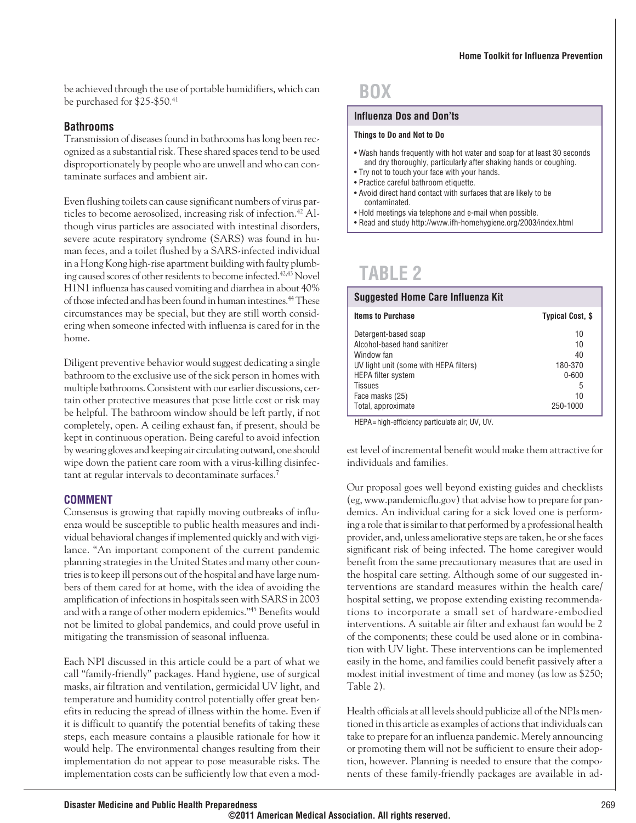be achieved through the use of portable humidifiers, which can be purchased for \$25-\$50.41

#### **Bathrooms**

Transmission of diseases found in bathrooms has long been recognized as a substantial risk. These shared spaces tend to be used disproportionately by people who are unwell and who can contaminate surfaces and ambient air.

Even flushing toilets can cause significant numbers of virus particles to become aerosolized, increasing risk of infection.<sup>42</sup> Although virus particles are associated with intestinal disorders, severe acute respiratory syndrome (SARS) was found in human feces, and a toilet flushed by a SARS-infected individual in a Hong Kong high-rise apartment building with faulty plumbing caused scores of other residents to become infected.<sup>42,43</sup> Novel H1N1 influenza has caused vomiting and diarrhea in about 40% of those infected and has been found in human intestines.44These circumstances may be special, but they are still worth considering when someone infected with influenza is cared for in the home.

Diligent preventive behavior would suggest dedicating a single bathroom to the exclusive use of the sick person in homes with multiple bathrooms. Consistent with our earlier discussions, certain other protective measures that pose little cost or risk may be helpful. The bathroom window should be left partly, if not completely, open. A ceiling exhaust fan, if present, should be kept in continuous operation. Being careful to avoid infection by wearing gloves and keeping air circulating outward, one should wipe down the patient care room with a virus-killing disinfectant at regular intervals to decontaminate surfaces.<sup>7</sup>

#### **COMMENT**

Consensus is growing that rapidly moving outbreaks of influenza would be susceptible to public health measures and individual behavioral changes if implemented quickly and with vigilance. "An important component of the current pandemic planning strategies in the United States and many other countries is to keep ill persons out of the hospital and have large numbers of them cared for at home, with the idea of avoiding the amplification of infections in hospitals seen with SARS in 2003 and with a range of other modern epidemics."45 Benefits would not be limited to global pandemics, and could prove useful in mitigating the transmission of seasonal influenza.

Each NPI discussed in this article could be a part of what we call "family-friendly" packages. Hand hygiene, use of surgical masks, air filtration and ventilation, germicidal UV light, and temperature and humidity control potentially offer great benefits in reducing the spread of illness within the home. Even if it is difficult to quantify the potential benefits of taking these steps, each measure contains a plausible rationale for how it would help. The environmental changes resulting from their implementation do not appear to pose measurable risks. The implementation costs can be sufficiently low that even a mod-

# **BOX**

#### **Influenza Dos and Don'ts**

#### **Things to Do and Not to Do**

- Wash hands frequently with hot water and soap for at least 30 seconds and dry thoroughly, particularly after shaking hands or coughing.
- Try not to touch your face with your hands.
- Practice careful bathroom etiquette.
- Avoid direct hand contact with surfaces that are likely to be contaminated.
- Hold meetings via telephone and e-mail when possible.
- Read and study http://www.ifh-homehygiene.org/2003/index.html

# **TABLE 2**

| Suggested Home Care Influenza Kit      |                         |  |  |
|----------------------------------------|-------------------------|--|--|
| <b>Items to Purchase</b>               | <b>Typical Cost, \$</b> |  |  |
| Detergent-based soap                   | 10                      |  |  |
| Alcohol-based hand sanitizer           | 10                      |  |  |
| Window fan                             | 40                      |  |  |
| UV light unit (some with HEPA filters) | 180-370                 |  |  |
| <b>HEPA filter system</b>              | $0 - 600$               |  |  |
| <b>Tissues</b>                         | 5                       |  |  |
| Face masks (25)                        | 10                      |  |  |
| Total, approximate                     | 250-1000                |  |  |

HEPA=high-efficiency particulate air; UV, UV.

est level of incremental benefit would make them attractive for individuals and families.

Our proposal goes well beyond existing guides and checklists (eg, www.pandemicflu.gov) that advise how to prepare for pandemics. An individual caring for a sick loved one is performing a role that is similar to that performed by a professional health provider, and, unless ameliorative steps are taken, he or she faces significant risk of being infected. The home caregiver would benefit from the same precautionary measures that are used in the hospital care setting. Although some of our suggested interventions are standard measures within the health care/ hospital setting, we propose extending existing recommendations to incorporate a small set of hardware-embodied interventions. A suitable air filter and exhaust fan would be 2 of the components; these could be used alone or in combination with UV light. These interventions can be implemented easily in the home, and families could benefit passively after a modest initial investment of time and money (as low as \$250; Table 2).

Health officials at all levels should publicize all of the NPIs mentioned in this article as examples of actions that individuals can take to prepare for an influenza pandemic. Merely announcing or promoting them will not be sufficient to ensure their adoption, however. Planning is needed to ensure that the components of these family-friendly packages are available in ad-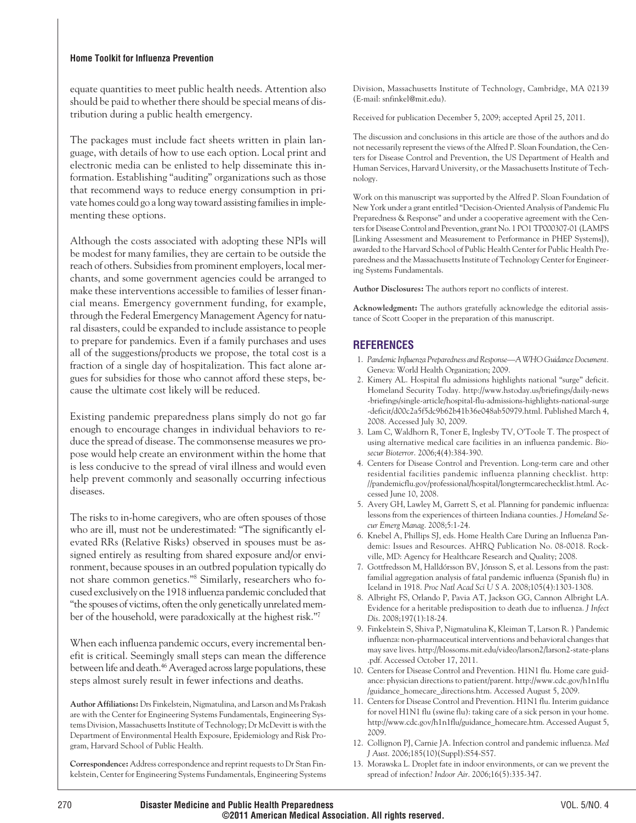#### **Home Toolkit for Influenza Prevention**

equate quantities to meet public health needs. Attention also should be paid to whether there should be special means of distribution during a public health emergency.

The packages must include fact sheets written in plain language, with details of how to use each option. Local print and electronic media can be enlisted to help disseminate this information. Establishing "auditing" organizations such as those that recommend ways to reduce energy consumption in private homes could go a long way toward assisting families in implementing these options.

Although the costs associated with adopting these NPIs will be modest for many families, they are certain to be outside the reach of others. Subsidies from prominent employers, local merchants, and some government agencies could be arranged to make these interventions accessible to families of lesser financial means. Emergency government funding, for example, through the Federal Emergency Management Agency for natural disasters, could be expanded to include assistance to people to prepare for pandemics. Even if a family purchases and uses all of the suggestions/products we propose, the total cost is a fraction of a single day of hospitalization. This fact alone argues for subsidies for those who cannot afford these steps, because the ultimate cost likely will be reduced.

Existing pandemic preparedness plans simply do not go far enough to encourage changes in individual behaviors to reduce the spread of disease. The commonsense measures we propose would help create an environment within the home that is less conducive to the spread of viral illness and would even help prevent commonly and seasonally occurring infectious diseases.

The risks to in-home caregivers, who are often spouses of those who are ill, must not be underestimated: "The significantly elevated RRs (Relative Risks) observed in spouses must be assigned entirely as resulting from shared exposure and/or environment, because spouses in an outbred population typically do not share common genetics."8 Similarly, researchers who focused exclusively on the 1918 influenza pandemic concluded that "the spouses of victims, often the only genetically unrelated member of the household, were paradoxically at the highest risk."7

When each influenza pandemic occurs, every incremental benefit is critical. Seemingly small steps can mean the difference between life and death.<sup>46</sup> Averaged across large populations, these steps almost surely result in fewer infections and deaths.

**Author Affiliations:** Drs Finkelstein, Nigmatulina, and Larson and Ms Prakash are with the Center for Engineering Systems Fundamentals, Engineering Systems Division, Massachusetts Institute of Technology; Dr McDevitt is with the Department of Environmental Health Exposure, Epidemiology and Risk Program, Harvard School of Public Health.

**Correspondence:** Address correspondence and reprint requests to Dr Stan Finkelstein, Center for Engineering Systems Fundamentals, Engineering Systems Division, Massachusetts Institute of Technology, Cambridge, MA 02139 (E-mail: snfinkel@mit.edu).

Received for publication December 5, 2009; accepted April 25, 2011.

The discussion and conclusions in this article are those of the authors and do not necessarily represent the views of the Alfred P. Sloan Foundation, the Centers for Disease Control and Prevention, the US Department of Health and Human Services, Harvard University, or the Massachusetts Institute of Technology.

Work on this manuscript was supported by the Alfred P. Sloan Foundation of New York under a grant entitled "Decision-Oriented Analysis of Pandemic Flu Preparedness & Response" and under a cooperative agreement with the Centers for Disease Control and Prevention, grant No. 1 PO1 TP000307-01 (LAMPS [Linking Assessment and Measurement to Performance in PHEP Systems]), awarded to the Harvard School of Public Health Center for Public Health Preparedness and the Massachusetts Institute of Technology Center for Engineering Systems Fundamentals.

**Author Disclosures:** The authors report no conflicts of interest.

**Acknowledgment:** The authors gratefully acknowledge the editorial assistance of Scott Cooper in the preparation of this manuscript.

## **REFERENCES**

- 1. *Pandemic Influenza Preparedness and Response—AWHO Guidance Document.* Geneva: World Health Organization; 2009.
- 2. Kimery AL. Hospital flu admissions highlights national "surge" deficit. Homeland Security Today. http://www.hstoday.us/briefings/daily-news -briefings/single-article/hospital-flu-admissions-highlights-national-surge -deficit/d00c2a5f5dc9b62b41b36e048ab50979.html. Published March 4, 2008. Accessed July 30, 2009.
- 3. Lam C, Waldhorn R, Toner E, Inglesby TV, O'Toole T. The prospect of using alternative medical care facilities in an influenza pandemic. *Biosecur Bioterror*. 2006;4(4):384-390.
- 4. Centers for Disease Control and Prevention. Long-term care and other residential facilities pandemic influenza planning checklist. http: //pandemicflu.gov/professional/hospital/longtermcarechecklist.html. Accessed June 10, 2008.
- 5. Avery GH, Lawley M, Garrett S, et al. Planning for pandemic influenza: lessons from the experiences of thirteen Indiana counties. *J Homeland Secur Emerg Manag*. 2008;5:1-24.
- 6. Knebel A, Phillips SJ, eds. Home Health Care During an Influenza Pandemic: Issues and Resources. AHRQ Publication No. 08-0018. Rockville, MD: Agency for Healthcare Research and Quality; 2008.
- 7. Gottfredsson M, Halldórsson BV, Jónsson S, et al. Lessons from the past: familial aggregation analysis of fatal pandemic influenza (Spanish flu) in Iceland in 1918. *Proc Natl Acad Sci U S A*. 2008;105(4):1303-1308.
- 8. Albright FS, Orlando P, Pavia AT, Jackson GG, Cannon Albright LA. Evidence for a heritable predisposition to death due to influenza. *J Infect Dis*. 2008;197(1):18-24.
- 9. Finkelstein S, Shiva P, Nigmatulina K, Kleiman T, Larson R. ) Pandemic influenza: non-pharmaceutical interventions and behavioral changes that may save lives. http://blossoms.mit.edu/video/larson2/larson2-state-plans .pdf. Accessed October 17, 2011.
- 10. Centers for Disease Control and Prevention. H1N1 flu. Home care guidance: physician directions to patient/parent. http://www.cdc.gov/h1n1flu /guidance\_homecare\_directions.htm. Accessed August 5, 2009.
- 11. Centers for Disease Control and Prevention. H1N1 flu. Interim guidance for novel H1N1 flu (swine flu): taking care of a sick person in your home. http://www.cdc.gov/h1n1flu/guidance\_homecare.htm. Accessed August 5, 2009.
- 12. Collignon PJ, Carnie JA. Infection control and pandemic influenza. *Med J Aust*. 2006;185(10)(Suppl):S54-S57.
- 13. Morawska L. Droplet fate in indoor environments, or can we prevent the spread of infection? *Indoor Air*. 2006;16(5):335-347.